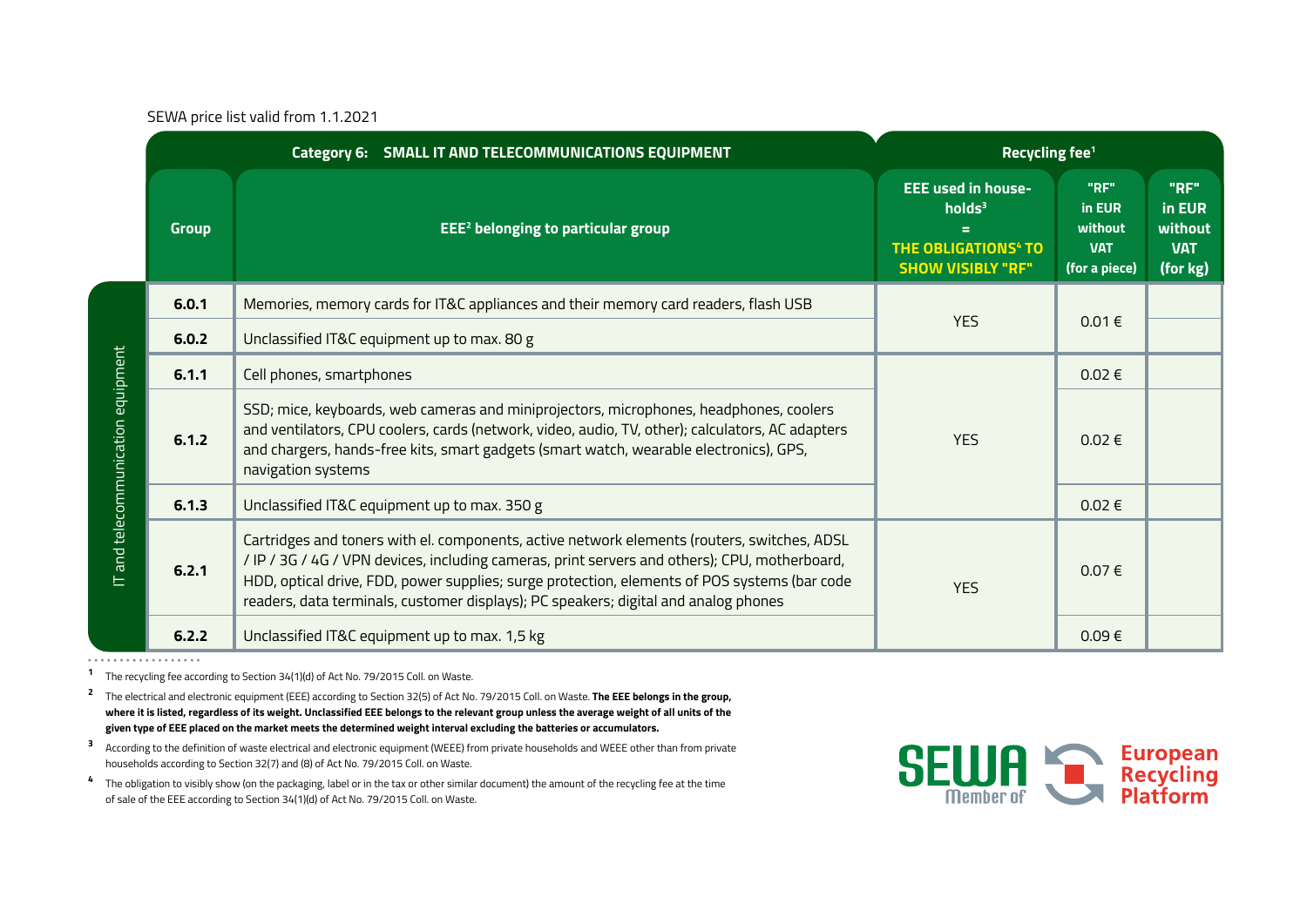SEWA price list valid from 1.1.2021

|                                    |              | Category 6: SMALL IT AND TELECOMMUNICATIONS EQUIPMENT                                                                                                                                                                                                                                                                                                                               | Recycling fee <sup>1</sup>                                                                                                |                                                          |                                                     |
|------------------------------------|--------------|-------------------------------------------------------------------------------------------------------------------------------------------------------------------------------------------------------------------------------------------------------------------------------------------------------------------------------------------------------------------------------------|---------------------------------------------------------------------------------------------------------------------------|----------------------------------------------------------|-----------------------------------------------------|
|                                    | <b>Group</b> | <b>EEE<sup>2</sup></b> belonging to particular group                                                                                                                                                                                                                                                                                                                                | <b>EEE used in house-</b><br>holds <sup>3</sup><br>Ξ<br><b>THE OBLIGATIONS<sup>4</sup> TO</b><br><b>SHOW VISIBLY "RF"</b> | "RF"<br>in EUR<br>without<br><b>VAT</b><br>(for a piece) | "RF"<br>in EUR<br>without<br><b>VAT</b><br>(for kg) |
| IT and telecommunication equipment | 6.0.1        | Memories, memory cards for IT&C appliances and their memory card readers, flash USB                                                                                                                                                                                                                                                                                                 |                                                                                                                           |                                                          |                                                     |
|                                    | 6.0.2        | Unclassified IT&C equipment up to max. 80 g                                                                                                                                                                                                                                                                                                                                         | <b>YES</b>                                                                                                                | $0.01 \in$                                               |                                                     |
|                                    | 6.1.1        | Cell phones, smartphones                                                                                                                                                                                                                                                                                                                                                            | <b>YES</b>                                                                                                                | $0.02 \in$                                               |                                                     |
|                                    | 6.1.2        | SSD; mice, keyboards, web cameras and miniprojectors, microphones, headphones, coolers<br>and ventilators, CPU coolers, cards (network, video, audio, TV, other); calculators, AC adapters<br>and chargers, hands-free kits, smart gadgets (smart watch, wearable electronics), GPS,<br>navigation systems                                                                          |                                                                                                                           | $0.02 \in$                                               |                                                     |
|                                    | 6.1.3        | Unclassified IT&C equipment up to max. 350 g                                                                                                                                                                                                                                                                                                                                        |                                                                                                                           | $0.02 \in$                                               |                                                     |
|                                    | 6.2.1        | Cartridges and toners with el. components, active network elements (routers, switches, ADSL<br>/ IP / 3G / 4G / VPN devices, including cameras, print servers and others); CPU, motherboard,<br>HDD, optical drive, FDD, power supplies; surge protection, elements of POS systems (bar code<br>readers, data terminals, customer displays); PC speakers; digital and analog phones | <b>YES</b>                                                                                                                | 0.07€                                                    |                                                     |
|                                    | 6.2.2        | Unclassified IT&C equipment up to max. 1,5 kg                                                                                                                                                                                                                                                                                                                                       |                                                                                                                           | 0.09€                                                    |                                                     |

. . . . . . . . . . . . . . . . . . .

**<sup>1</sup>**The recycling fee according to Section 34(1)(d) of Act No. 79/2015 Coll. on Waste.

**<sup>2</sup>** The electrical and electronic equipment (EEE) according to Section 32(5) of Act No. 79/2015 Coll. on Waste. **The EEE belongs in the group, where it is listed, regardless of its weight. Unclassified EEE belongs to the relevant group unless the average weight of all units of the given type of EEE placed on the market meets the determined weight interval excluding the batteries or accumulators.**

**3** According to the definition of waste electrical and electronic equipment (WEEE) from private households and WEEE other than from private households according to Section 32(7) and (8) of Act No. 79/2015 Coll. on Waste.

**4** The obligation to visibly show (on the packaging, label or in the tax or other similar document) the amount of the recycling fee at the time of sale of the EEE according to Section 34(1)(d) of Act No. 79/2015 Coll. on Waste.